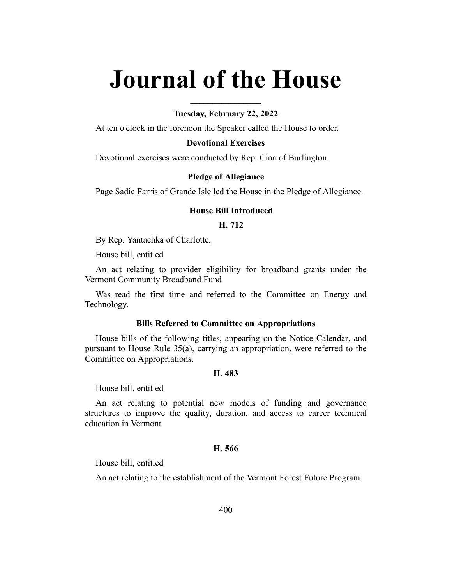# **Journal of the House**

# **Tuesday, February 22, 2022**

**\_\_\_\_\_\_\_\_\_\_\_\_\_\_\_\_**

At ten o'clock in the forenoon the Speaker called the House to order.

## **Devotional Exercises**

Devotional exercises were conducted by Rep. Cina of Burlington.

## **Pledge of Allegiance**

Page Sadie Farris of Grande Isle led the House in the Pledge of Allegiance.

# **House Bill Introduced**

# **H. 712**

By Rep. Yantachka of Charlotte,

House bill, entitled

An act relating to provider eligibility for broadband grants under the Vermont Community Broadband Fund

Was read the first time and referred to the Committee on Energy and Technology.

#### **Bills Referred to Committee on Appropriations**

House bills of the following titles, appearing on the Notice Calendar, and pursuant to House Rule 35(a), carrying an appropriation, were referred to the Committee on Appropriations.

#### **H. 483**

House bill, entitled

An act relating to potential new models of funding and governance structures to improve the quality, duration, and access to career technical education in Vermont

## **H. 566**

House bill, entitled

An act relating to the establishment of the Vermont Forest Future Program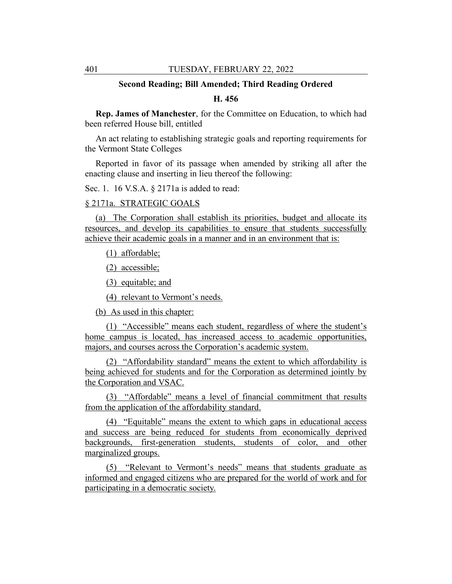## **Second Reading; Bill Amended; Third Reading Ordered**

# **H. 456**

**Rep. James of Manchester**, for the Committee on Education, to which had been referred House bill, entitled

An act relating to establishing strategic goals and reporting requirements for the Vermont State Colleges

Reported in favor of its passage when amended by striking all after the enacting clause and inserting in lieu thereof the following:

Sec. 1. 16 V.S.A. § 2171a is added to read:

# § 2171a. STRATEGIC GOALS

(a) The Corporation shall establish its priorities, budget and allocate its resources, and develop its capabilities to ensure that students successfully achieve their academic goals in a manner and in an environment that is:

(1) affordable;

(2) accessible;

(3) equitable; and

(4) relevant to Vermont's needs.

(b) As used in this chapter:

(1) "Accessible" means each student, regardless of where the student's home campus is located, has increased access to academic opportunities, majors, and courses across the Corporation's academic system.

(2) "Affordability standard" means the extent to which affordability is being achieved for students and for the Corporation as determined jointly by the Corporation and VSAC.

(3) "Affordable" means a level of financial commitment that results from the application of the affordability standard.

(4) "Equitable" means the extent to which gaps in educational access and success are being reduced for students from economically deprived backgrounds, first-generation students, students of color, and other marginalized groups.

(5) "Relevant to Vermont's needs" means that students graduate as informed and engaged citizens who are prepared for the world of work and for participating in a democratic society.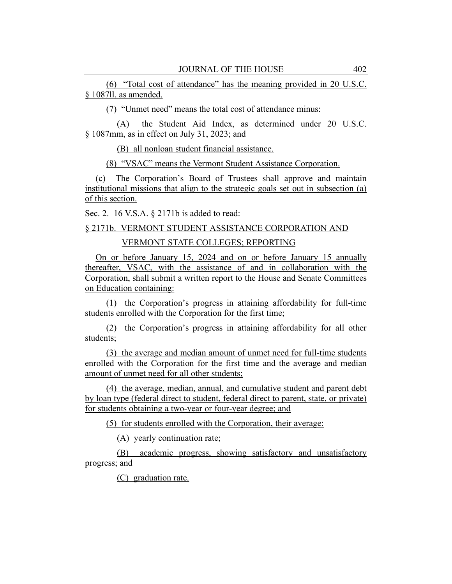(6) "Total cost of attendance" has the meaning provided in 20 U.S.C. § 1087ll, as amended.

(7) "Unmet need" means the total cost of attendance minus:

(A) the Student Aid Index, as determined under 20 U.S.C. § 1087mm, as in effect on July 31, 2023; and

(B) all nonloan student financial assistance.

(8) "VSAC" means the Vermont Student Assistance Corporation.

(c) The Corporation's Board of Trustees shall approve and maintain institutional missions that align to the strategic goals set out in subsection (a) of this section.

Sec. 2. 16 V.S.A. § 2171b is added to read:

# § 2171b. VERMONT STUDENT ASSISTANCE CORPORATION AND

VERMONT STATE COLLEGES; REPORTING

On or before January 15, 2024 and on or before January 15 annually thereafter, VSAC, with the assistance of and in collaboration with the Corporation, shall submit a written report to the House and Senate Committees on Education containing:

(1) the Corporation's progress in attaining affordability for full-time students enrolled with the Corporation for the first time;

(2) the Corporation's progress in attaining affordability for all other students;

(3) the average and median amount of unmet need for full-time students enrolled with the Corporation for the first time and the average and median amount of unmet need for all other students;

(4) the average, median, annual, and cumulative student and parent debt by loan type (federal direct to student, federal direct to parent, state, or private) for students obtaining a two-year or four-year degree; and

(5) for students enrolled with the Corporation, their average:

(A) yearly continuation rate;

(B) academic progress, showing satisfactory and unsatisfactory progress; and

(C) graduation rate.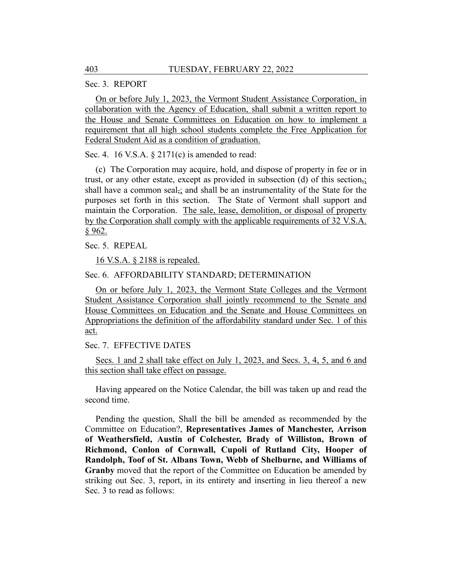Sec. 3. REPORT

On or before July 1, 2023, the Vermont Student Assistance Corporation, in collaboration with the Agency of Education, shall submit a written report to the House and Senate Committees on Education on how to implement a requirement that all high school students complete the Free Application for Federal Student Aid as a condition of graduation.

Sec. 4. 16 V.S.A. § 2171(c) is amended to read:

(c) The Corporation may acquire, hold, and dispose of property in fee or in trust, or any other estate, except as provided in subsection (d) of this section,; shall have a common seal<sub> $\tau$ </sub> and shall be an instrumentality of the State for the purposes set forth in this section. The State of Vermont shall support and maintain the Corporation. The sale, lease, demolition, or disposal of property by the Corporation shall comply with the applicable requirements of 32 V.S.A. § 962.

Sec. 5. REPEAL

16 V.S.A. § 2188 is repealed.

## Sec. 6. AFFORDABILITY STANDARD; DETERMINATION

On or before July 1, 2023, the Vermont State Colleges and the Vermont Student Assistance Corporation shall jointly recommend to the Senate and House Committees on Education and the Senate and House Committees on Appropriations the definition of the affordability standard under Sec. 1 of this act.

Sec. 7. EFFECTIVE DATES

Secs. 1 and 2 shall take effect on July 1, 2023, and Secs. 3, 4, 5, and 6 and this section shall take effect on passage.

Having appeared on the Notice Calendar, the bill was taken up and read the second time.

Pending the question, Shall the bill be amended as recommended by the Committee on Education?, **Representatives James of Manchester, Arrison of Weathersfield, Austin of Colchester, Brady of Williston, Brown of Richmond, Conlon of Cornwall, Cupoli of Rutland City, Hooper of Randolph, Toof of St. Albans Town, Webb of Shelburne, and Williams of Granby** moved that the report of the Committee on Education be amended by striking out Sec. 3, report, in its entirety and inserting in lieu thereof a new Sec. 3 to read as follows: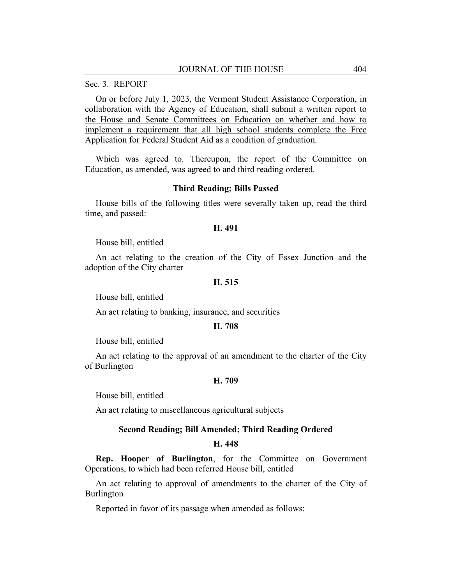## Sec. 3. REPORT

On or before July 1, 2023, the Vermont Student Assistance Corporation, in collaboration with the Agency of Education, shall submit a written report to the House and Senate Committees on Education on whether and how to implement a requirement that all high school students complete the Free Application for Federal Student Aid as a condition of graduation.

Which was agreed to. Thereupon, the report of the Committee on Education, as amended, was agreed to and third reading ordered.

#### **Third Reading; Bills Passed**

House bills of the following titles were severally taken up, read the third time, and passed:

#### **H. 491**

House bill, entitled

An act relating to the creation of the City of Essex Junction and the adoption of the City charter

## **H. 515**

House bill, entitled

An act relating to banking, insurance, and securities

#### **H. 708**

House bill, entitled

An act relating to the approval of an amendment to the charter of the City of Burlington

## **H. 709**

House bill, entitled

An act relating to miscellaneous agricultural subjects

#### **Second Reading; Bill Amended; Third Reading Ordered**

#### **H. 448**

**Rep. Hooper of Burlington**, for the Committee on Government Operations, to which had been referred House bill, entitled

An act relating to approval of amendments to the charter of the City of Burlington

Reported in favor of its passage when amended as follows: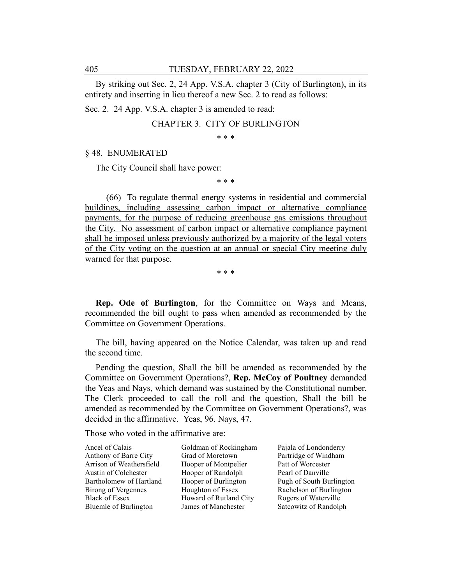By striking out Sec. 2, 24 App. V.S.A. chapter 3 (City of Burlington), in its entirety and inserting in lieu thereof a new Sec. 2 to read as follows:

Sec. 2. 24 App. V.S.A. chapter 3 is amended to read:

CHAPTER 3. CITY OF BURLINGTON

\* \* \*

## § 48. ENUMERATED

The City Council shall have power:

\* \* \*

(66) To regulate thermal energy systems in residential and commercial buildings, including assessing carbon impact or alternative compliance payments, for the purpose of reducing greenhouse gas emissions throughout the City. No assessment of carbon impact or alternative compliance payment shall be imposed unless previously authorized by a majority of the legal voters of the City voting on the question at an annual or special City meeting duly warned for that purpose.

\* \* \*

**Rep. Ode of Burlington**, for the Committee on Ways and Means, recommended the bill ought to pass when amended as recommended by the Committee on Government Operations.

The bill, having appeared on the Notice Calendar, was taken up and read the second time.

Pending the question, Shall the bill be amended as recommended by the Committee on Government Operations?, **Rep. McCoy of Poultney** demanded the Yeas and Nays, which demand was sustained by the Constitutional number. The Clerk proceeded to call the roll and the question, Shall the bill be amended as recommended by the Committee on Government Operations?, was decided in the affirmative. Yeas, 96. Nays, 47.

Those who voted in the affirmative are:

Ancel of Calais Anthony of Barre City Arrison of Weathersfield Austin of Colchester Bartholomew of Hartland Birong of Vergennes Black of Essex Bluemle of Burlington

Goldman of Rockingham Grad of Moretown Hooper of Montpelier Hooper of Randolph Hooper of Burlington Houghton of Essex Howard of Rutland City James of Manchester

Pajala of Londonderry Partridge of Windham Patt of Worcester Pearl of Danville Pugh of South Burlington Rachelson of Burlington Rogers of Waterville Satcowitz of Randolph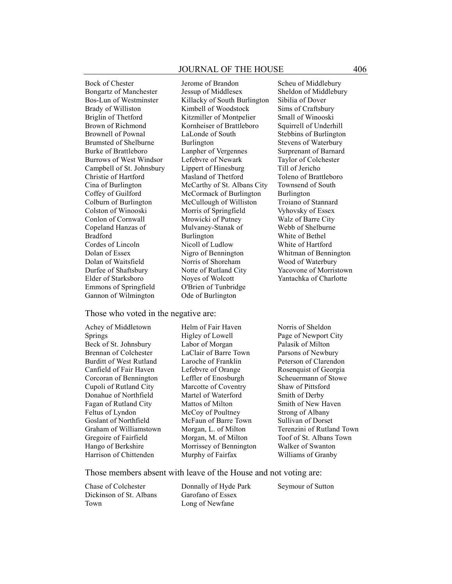Bock of Chester Bongartz of Manchester Bos-Lun of Westminster Brady of Williston Briglin of Thetford Brown of Richmond Brownell of Pownal Brumsted of Shelburne Burke of Brattleboro Burrows of West Windsor Campbell of St. Johnsbury Christie of Hartford Cina of Burlington Coffey of Guilford Colburn of Burlington Colston of Winooski Conlon of Cornwall Copeland Hanzas of Bradford Cordes of Lincoln Dolan of Essex Dolan of Waitsfield Durfee of Shaftsbury Elder of Starksboro Emmons of Springfield Gannon of Wilmington

Jerome of Brandon Jessup of Middlesex Killacky of South Burlington Kimbell of Woodstock Kitzmiller of Montpelier Kornheiser of Brattleboro LaLonde of South Burlington Lanpher of Vergennes Lefebvre of Newark Lippert of Hinesburg Masland of Thetford McCarthy of St. Albans City McCormack of Burlington McCullough of Williston Morris of Springfield Mrowicki of Putney Mulvaney-Stanak of Burlington Nicoll of Ludlow Nigro of Bennington Norris of Shoreham Notte of Rutland City Noyes of Wolcott O'Brien of Tunbridge Ode of Burlington

#### Those who voted in the negative are:

Achey of Middletown Springs Beck of St. Johnsbury Brennan of Colchester Burditt of West Rutland Canfield of Fair Haven Corcoran of Bennington Cupoli of Rutland City Donahue of Northfield Fagan of Rutland City Feltus of Lyndon Goslant of Northfield Graham of Williamstown Gregoire of Fairfield Hango of Berkshire Harrison of Chittenden

Helm of Fair Haven Higley of Lowell Labor of Morgan LaClair of Barre Town Laroche of Franklin Lefebvre of Orange Leffler of Enosburgh Marcotte of Coventry Martel of Waterford Mattos of Milton McCoy of Poultney McFaun of Barre Town Morgan, L. of Milton Morgan, M. of Milton Morrissey of Bennington Murphy of Fairfax

Scheu of Middlebury Sheldon of Middlebury Sibilia of Dover Sims of Craftsbury Small of Winooski Squirrell of Underhill Stebbins of Burlington Stevens of Waterbury Surprenant of Barnard Taylor of Colchester Till of Jericho Toleno of Brattleboro Townsend of South Burlington Troiano of Stannard Vyhovsky of Essex Walz of Barre City Webb of Shelburne White of Bethel White of Hartford Whitman of Bennington Wood of Waterbury Yacovone of Morristown Yantachka of Charlotte

Norris of Sheldon Page of Newport City Palasik of Milton Parsons of Newbury Peterson of Clarendon Rosenquist of Georgia Scheuermann of Stowe Shaw of Pittsford Smith of Derby Smith of New Haven Strong of Albany Sullivan of Dorset Terenzini of Rutland Town Toof of St. Albans Town Walker of Swanton Williams of Granby

Those members absent with leave of the House and not voting are:

Chase of Colchester Dickinson of St. Albans Town

Donnally of Hyde Park Garofano of Essex Long of Newfane

Seymour of Sutton